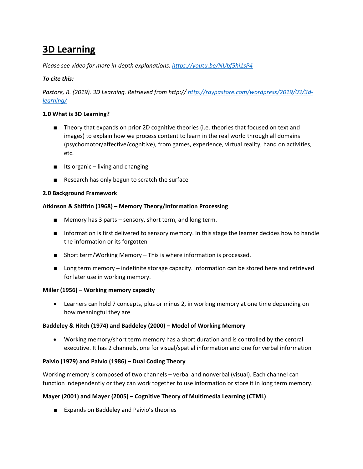# **3D Learning**

*Please see video for more in-depth explanations:<https://youtu.be/NUbf5hi1sP4>*

## *To cite this:*

*Pastore, R. (2019). 3D Learning. Retrieved from http:// [http://raypastore.com/wordpress/2019/03/3d](http://raypastore.com/wordpress/2019/03/3d-learning/)[learning/](http://raypastore.com/wordpress/2019/03/3d-learning/)*

## **1.0 What is 3D Learning?**

- Theory that expands on prior 2D cognitive theories (i.e. theories that focused on text and images) to explain how we process content to learn in the real world through all domains (psychomotor/affective/cognitive), from games, experience, virtual reality, hand on activities, etc.
- Its organic living and changing
- Research has only begun to scratch the surface

## **2.0 Background Framework**

## **Atkinson & Shiffrin (1968) – Memory Theory/Information Processing**

- Memory has 3 parts sensory, short term, and long term.
- Information is first delivered to sensory memory. In this stage the learner decides how to handle the information or its forgotten
- Short term/Working Memory This is where information is processed.
- Long term memory indefinite storage capacity. Information can be stored here and retrieved for later use in working memory.

## **Miller (1956) – Working memory capacity**

• Learners can hold 7 concepts, plus or minus 2, in working memory at one time depending on how meaningful they are

## **Baddeley & Hitch (1974) and Baddeley (2000) – Model of Working Memory**

• Working memory/short term memory has a short duration and is controlled by the central executive. It has 2 channels, one for visual/spatial information and one for verbal information

## **Paivio (1979) and Paivio (1986) – Dual Coding Theory**

Working memory is composed of two channels – verbal and nonverbal (visual). Each channel can function independently or they can work together to use information or store it in long term memory.

## **Mayer (2001) and Mayer (2005) – Cognitive Theory of Multimedia Learning (CTML)**

■ Expands on Baddeley and Paivio's theories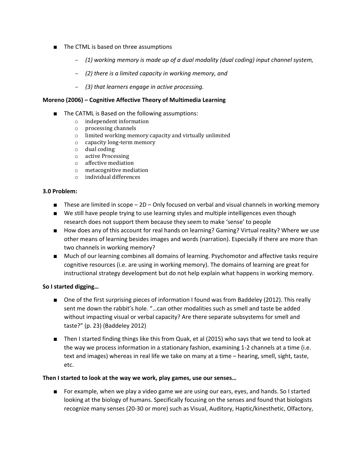- The CTML is based on three assumptions
	- *(1) working memory is made up of a dual modality (dual coding) input channel system,*
	- *(2) there is a limited capacity in working memory, and*
	- *(3) that learners engage in active processing.*

#### **Moreno (2006) – Cognitive Affective Theory of Multimedia Learning**

- The CATML is Based on the following assumptions:
	- o independent information
	- o processing channels
	- o limited working memory capacity and virtually unlimited
	- o capacity long-term memory
	- o dual coding
	- o active Processing
	- o affective mediation
	- o metacognitive mediation
	- o individual differences

#### **3.0 Problem:**

- These are limited in scope 2D Only focused on verbal and visual channels in working memory
- We still have people trying to use learning styles and multiple intelligences even though research does not support them because they seem to make 'sense' to people
- How does any of this account for real hands on learning? Gaming? Virtual reality? Where we use other means of learning besides images and words (narration). Especially if there are more than two channels in working memory?
- Much of our learning combines all domains of learning. Psychomotor and affective tasks require cognitive resources (i.e. are using in working memory). The domains of learning are great for instructional strategy development but do not help explain what happens in working memory.

### **So I started digging…**

- One of the first surprising pieces of information I found was from Baddeley (2012). This really sent me down the rabbit's hole. "…can other modalities such as smell and taste be added without impacting visual or verbal capacity? Are there separate subsystems for smell and taste?" (p. 23) (Baddeley 2012)
- Then I started finding things like this from Quak, et al (2015) who says that we tend to look at the way we process information in a stationary fashion, examining 1-2 channels at a time (i.e. text and images) whereas in real life we take on many at a time – hearing, smell, sight, taste, etc.

### **Then I started to look at the way we work, play games, use our senses…**

■ For example, when we play a video game we are using our ears, eyes, and hands. So I started looking at the biology of humans. Specifically focusing on the senses and found that biologists recognize many senses (20-30 or more) such as Visual, Auditory, Haptic/kinesthetic, Olfactory,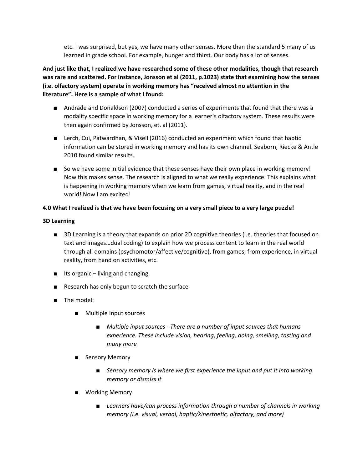etc. I was surprised, but yes, we have many other senses. More than the standard 5 many of us learned in grade school. For example, hunger and thirst. Our body has a lot of senses.

**And just like that, I realized we have researched some of these other modalities, though that research was rare and scattered. For instance, Jonsson et al (2011, p.1023) state that examining how the senses (i.e. olfactory system) operate in working memory has "received almost no attention in the literature". Here is a sample of what I found:**

- Andrade and Donaldson (2007) conducted a series of experiments that found that there was a modality specific space in working memory for a learner's olfactory system. These results were then again confirmed by Jonsson, et. al (2011).
- Lerch, Cui, Patwardhan, & Visell (2016) conducted an experiment which found that haptic information can be stored in working memory and has its own channel. Seaborn, Riecke & Antle 2010 found similar results.
- So we have some initial evidence that these senses have their own place in working memory! Now this makes sense. The research is aligned to what we really experience. This explains what is happening in working memory when we learn from games, virtual reality, and in the real world! Now I am excited!

## **4.0 What I realized is that we have been focusing on a very small piece to a very large puzzle!**

### **3D Learning**

- 3D Learning is a theory that expands on prior 2D cognitive theories (i.e. theories that focused on text and images…dual coding) to explain how we process content to learn in the real world through all domains (psychomotor/affective/cognitive), from games, from experience, in virtual reality, from hand on activities, etc.
- Its organic living and changing
- Research has only begun to scratch the surface
- The model:
	- Multiple Input sources
		- *Multiple input sources - There are a number of input sources that humans experience. These include vision, hearing, feeling, doing, smelling, tasting and many more*
	- Sensory Memory
		- *Sensory memory is where we first experience the input and put it into working memory or dismiss it*
	- Working Memory
		- *Learners have/can process information through a number of channels in working memory (i.e. visual, verbal, haptic/kinesthetic, olfactory, and more)*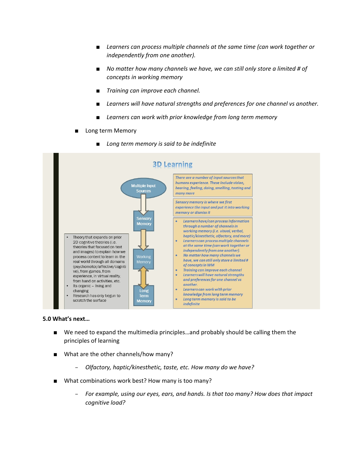- Learners can process multiple channels at the same time (can work together or *independently from one another).*
- *No matter how many channels we have, we can still only store a limited # of concepts in working memory*
- *Training can improve each channel.*
- Learners will have natural strengths and preferences for one channel vs another.
- Learners can work with prior knowledge from long term memory
- Long term Memory



**Long term memory is said to be indefinite** 

#### **5.0 What's next…**

- We need to expand the multimedia principles...and probably should be calling them the principles of learning
- What are the other channels/how many?
	- *Olfactory, haptic/kinesthetic, taste, etc. How many do we have?*
- What combinations work best? How many is too many?
	- *For example, using our eyes, ears, and hands. Is that too many? How does that impact cognitive load?*